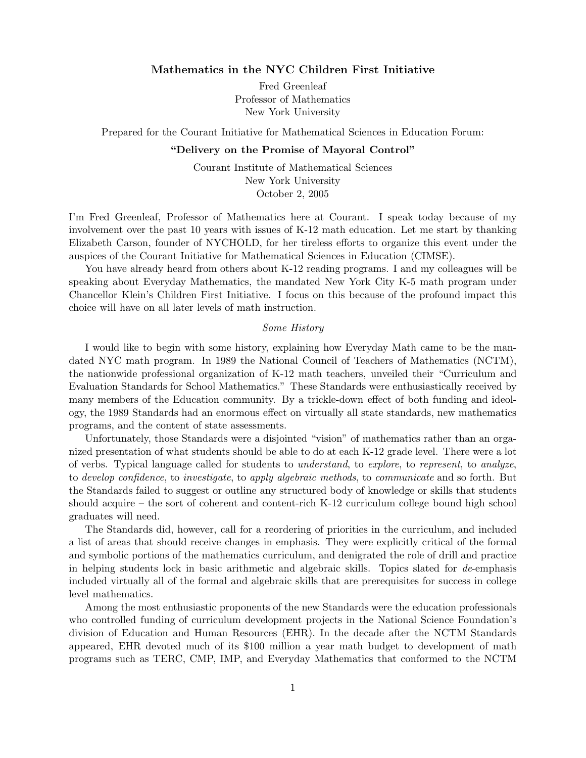## Mathematics in the NYC Children First Initiative

Fred Greenleaf Professor of Mathematics New York University

Prepared for the Courant Initiative for Mathematical Sciences in Education Forum:

#### "Delivery on the Promise of Mayoral Control"

Courant Institute of Mathematical Sciences New York University October 2, 2005

I'm Fred Greenleaf, Professor of Mathematics here at Courant. I speak today because of my involvement over the past 10 years with issues of K-12 math education. Let me start by thanking Elizabeth Carson, founder of NYCHOLD, for her tireless efforts to organize this event under the auspices of the Courant Initiative for Mathematical Sciences in Education (CIMSE).

You have already heard from others about K-12 reading programs. I and my colleagues will be speaking about Everyday Mathematics, the mandated New York City K-5 math program under Chancellor Klein's Children First Initiative. I focus on this because of the profound impact this choice will have on all later levels of math instruction.

#### Some History

I would like to begin with some history, explaining how Everyday Math came to be the mandated NYC math program. In 1989 the National Council of Teachers of Mathematics (NCTM), the nationwide professional organization of K-12 math teachers, unveiled their "Curriculum and Evaluation Standards for School Mathematics." These Standards were enthusiastically received by many members of the Education community. By a trickle-down effect of both funding and ideology, the 1989 Standards had an enormous effect on virtually all state standards, new mathematics programs, and the content of state assessments.

Unfortunately, those Standards were a disjointed "vision" of mathematics rather than an organized presentation of what students should be able to do at each K-12 grade level. There were a lot of verbs. Typical language called for students to understand, to explore, to represent, to analyze, to develop confidence, to investigate, to apply algebraic methods, to communicate and so forth. But the Standards failed to suggest or outline any structured body of knowledge or skills that students should acquire – the sort of coherent and content-rich K-12 curriculum college bound high school graduates will need.

The Standards did, however, call for a reordering of priorities in the curriculum, and included a list of areas that should receive changes in emphasis. They were explicitly critical of the formal and symbolic portions of the mathematics curriculum, and denigrated the role of drill and practice in helping students lock in basic arithmetic and algebraic skills. Topics slated for de-emphasis included virtually all of the formal and algebraic skills that are prerequisites for success in college level mathematics.

Among the most enthusiastic proponents of the new Standards were the education professionals who controlled funding of curriculum development projects in the National Science Foundation's division of Education and Human Resources (EHR). In the decade after the NCTM Standards appeared, EHR devoted much of its \$100 million a year math budget to development of math programs such as TERC, CMP, IMP, and Everyday Mathematics that conformed to the NCTM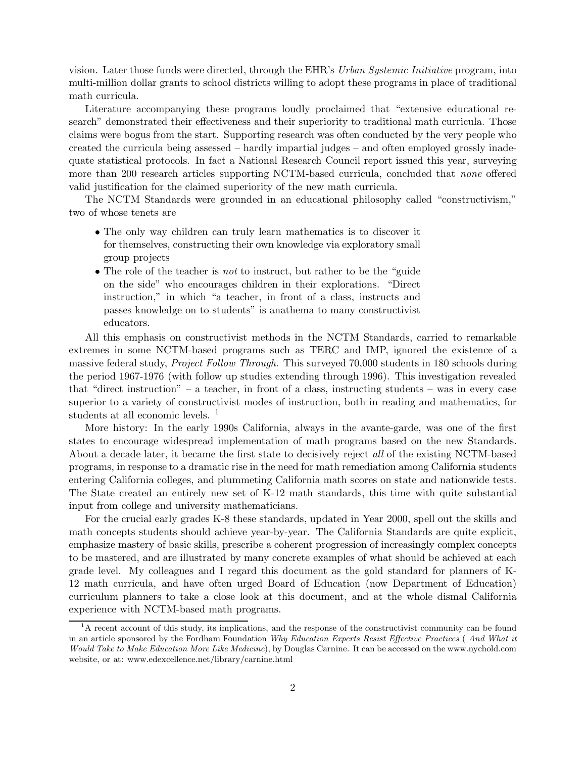vision. Later those funds were directed, through the EHR's Urban Systemic Initiative program, into multi-million dollar grants to school districts willing to adopt these programs in place of traditional math curricula.

Literature accompanying these programs loudly proclaimed that "extensive educational research" demonstrated their effectiveness and their superiority to traditional math curricula. Those claims were bogus from the start. Supporting research was often conducted by the very people who created the curricula being assessed – hardly impartial judges – and often employed grossly inadequate statistical protocols. In fact a National Research Council report issued this year, surveying more than 200 research articles supporting NCTM-based curricula, concluded that none offered valid justification for the claimed superiority of the new math curricula.

The NCTM Standards were grounded in an educational philosophy called "constructivism," two of whose tenets are

- The only way children can truly learn mathematics is to discover it for themselves, constructing their own knowledge via exploratory small group projects
- The role of the teacher is *not* to instruct, but rather to be the "guide" on the side" who encourages children in their explorations. "Direct instruction," in which "a teacher, in front of a class, instructs and passes knowledge on to students" is anathema to many constructivist educators.

All this emphasis on constructivist methods in the NCTM Standards, carried to remarkable extremes in some NCTM-based programs such as TERC and IMP, ignored the existence of a massive federal study, *Project Follow Through*. This surveyed 70,000 students in 180 schools during the period 1967-1976 (with follow up studies extending through 1996). This investigation revealed that "direct instruction" – a teacher, in front of a class, instructing students – was in every case superior to a variety of constructivist modes of instruction, both in reading and mathematics, for students at all economic levels.<sup>1</sup>

More history: In the early 1990s California, always in the avante-garde, was one of the first states to encourage widespread implementation of math programs based on the new Standards. About a decade later, it became the first state to decisively reject all of the existing NCTM-based programs, in response to a dramatic rise in the need for math remediation among California students entering California colleges, and plummeting California math scores on state and nationwide tests. The State created an entirely new set of K-12 math standards, this time with quite substantial input from college and university mathematicians.

For the crucial early grades K-8 these standards, updated in Year 2000, spell out the skills and math concepts students should achieve year-by-year. The California Standards are quite explicit, emphasize mastery of basic skills, prescribe a coherent progression of increasingly complex concepts to be mastered, and are illustrated by many concrete examples of what should be achieved at each grade level. My colleagues and I regard this document as the gold standard for planners of K-12 math curricula, and have often urged Board of Education (now Department of Education) curriculum planners to take a close look at this document, and at the whole dismal California experience with NCTM-based math programs.

 ${}^{1}$ A recent account of this study, its implications, and the response of the constructivist community can be found in an article sponsored by the Fordham Foundation Why Education Experts Resist Effective Practices ( And What it Would Take to Make Education More Like Medicine), by Douglas Carnine. It can be accessed on the www.nychold.com website, or at: www.edexcellence.net/library/carnine.html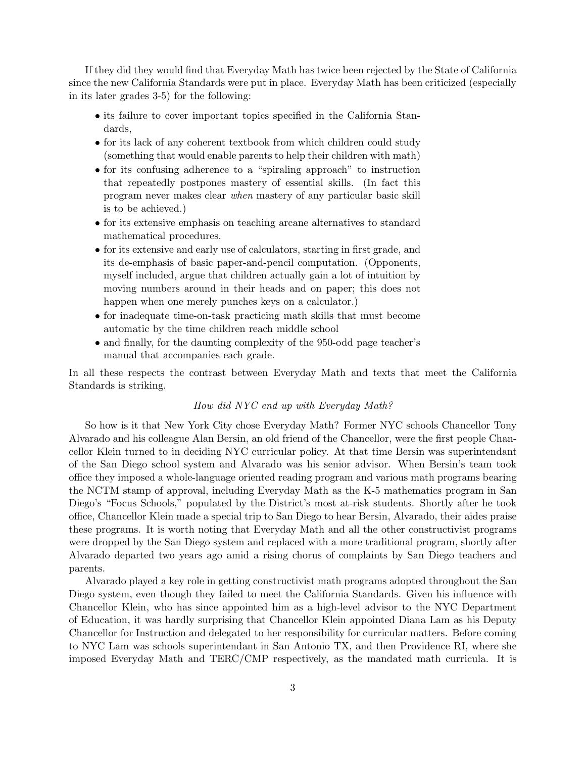If they did they would find that Everyday Math has twice been rejected by the State of California since the new California Standards were put in place. Everyday Math has been criticized (especially in its later grades 3-5) for the following:

- its failure to cover important topics specified in the California Standards,
- for its lack of any coherent textbook from which children could study (something that would enable parents to help their children with math)
- for its confusing adherence to a "spiraling approach" to instruction that repeatedly postpones mastery of essential skills. (In fact this program never makes clear when mastery of any particular basic skill is to be achieved.)
- for its extensive emphasis on teaching arcane alternatives to standard mathematical procedures.
- for its extensive and early use of calculators, starting in first grade, and its de-emphasis of basic paper-and-pencil computation. (Opponents, myself included, argue that children actually gain a lot of intuition by moving numbers around in their heads and on paper; this does not happen when one merely punches keys on a calculator.)
- for inadequate time-on-task practicing math skills that must become automatic by the time children reach middle school
- and finally, for the daunting complexity of the 950-odd page teacher's manual that accompanies each grade.

In all these respects the contrast between Everyday Math and texts that meet the California Standards is striking.

## How did NYC end up with Everyday Math?

So how is it that New York City chose Everyday Math? Former NYC schools Chancellor Tony Alvarado and his colleague Alan Bersin, an old friend of the Chancellor, were the first people Chancellor Klein turned to in deciding NYC curricular policy. At that time Bersin was superintendant of the San Diego school system and Alvarado was his senior advisor. When Bersin's team took office they imposed a whole-language oriented reading program and various math programs bearing the NCTM stamp of approval, including Everyday Math as the K-5 mathematics program in San Diego's "Focus Schools," populated by the District's most at-risk students. Shortly after he took office, Chancellor Klein made a special trip to San Diego to hear Bersin, Alvarado, their aides praise these programs. It is worth noting that Everyday Math and all the other constructivist programs were dropped by the San Diego system and replaced with a more traditional program, shortly after Alvarado departed two years ago amid a rising chorus of complaints by San Diego teachers and parents.

Alvarado played a key role in getting constructivist math programs adopted throughout the San Diego system, even though they failed to meet the California Standards. Given his influence with Chancellor Klein, who has since appointed him as a high-level advisor to the NYC Department of Education, it was hardly surprising that Chancellor Klein appointed Diana Lam as his Deputy Chancellor for Instruction and delegated to her responsibility for curricular matters. Before coming to NYC Lam was schools superintendant in San Antonio TX, and then Providence RI, where she imposed Everyday Math and TERC/CMP respectively, as the mandated math curricula. It is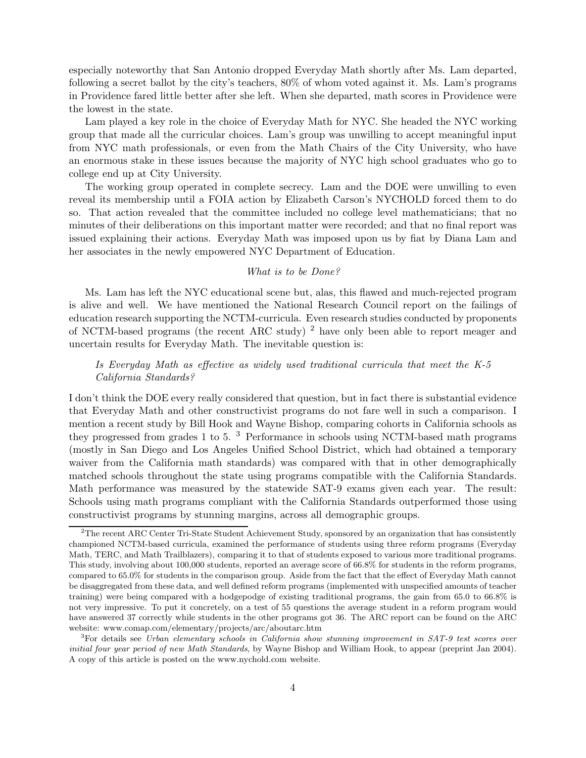especially noteworthy that San Antonio dropped Everyday Math shortly after Ms. Lam departed, following a secret ballot by the city's teachers, 80% of whom voted against it. Ms. Lam's programs in Providence fared little better after she left. When she departed, math scores in Providence were the lowest in the state.

Lam played a key role in the choice of Everyday Math for NYC. She headed the NYC working group that made all the curricular choices. Lam's group was unwilling to accept meaningful input from NYC math professionals, or even from the Math Chairs of the City University, who have an enormous stake in these issues because the majority of NYC high school graduates who go to college end up at City University.

The working group operated in complete secrecy. Lam and the DOE were unwilling to even reveal its membership until a FOIA action by Elizabeth Carson's NYCHOLD forced them to do so. That action revealed that the committee included no college level mathematicians; that no minutes of their deliberations on this important matter were recorded; and that no final report was issued explaining their actions. Everyday Math was imposed upon us by fiat by Diana Lam and her associates in the newly empowered NYC Department of Education.

### What is to be Done?

Ms. Lam has left the NYC educational scene but, alas, this flawed and much-rejected program is alive and well. We have mentioned the National Research Council report on the failings of education research supporting the NCTM-curricula. Even research studies conducted by proponents of NCTM-based programs (the recent ARC study)  $^2$  have only been able to report meager and uncertain results for Everyday Math. The inevitable question is:

# Is Everyday Math as effective as widely used traditional curricula that meet the K-5 California Standards?

I don't think the DOE every really considered that question, but in fact there is substantial evidence that Everyday Math and other constructivist programs do not fare well in such a comparison. I mention a recent study by Bill Hook and Wayne Bishop, comparing cohorts in California schools as they progressed from grades 1 to 5. <sup>3</sup> Performance in schools using NCTM-based math programs (mostly in San Diego and Los Angeles Unified School District, which had obtained a temporary waiver from the California math standards) was compared with that in other demographically matched schools throughout the state using programs compatible with the California Standards. Math performance was measured by the statewide SAT-9 exams given each year. The result: Schools using math programs compliant with the California Standards outperformed those using constructivist programs by stunning margins, across all demographic groups.

 $2<sup>2</sup>$ The recent ARC Center Tri-State Student Achievement Study, sponsored by an organization that has consistently championed NCTM-based curricula, examined the performance of students using three reform programs (Everyday Math, TERC, and Math Trailblazers), comparing it to that of students exposed to various more traditional programs. This study, involving about 100,000 students, reported an average score of 66.8% for students in the reform programs, compared to 65.0% for students in the comparison group. Aside from the fact that the effect of Everyday Math cannot be disaggregated from these data, and well defined reform programs (implemented with unspecified amounts of teacher training) were being compared with a hodgepodge of existing traditional programs, the gain from 65.0 to 66.8% is not very impressive. To put it concretely, on a test of 55 questions the average student in a reform program would have answered 37 correctly while students in the other programs got 36. The ARC report can be found on the ARC website: www.comap.com/elementary/projects/arc/aboutarc.htm

<sup>&</sup>lt;sup>3</sup>For details see Urban elementary schools in California show stunning improvement in SAT-9 test scores over initial four year period of new Math Standards, by Wayne Bishop and William Hook, to appear (preprint Jan 2004). A copy of this article is posted on the www.nychold.com website.